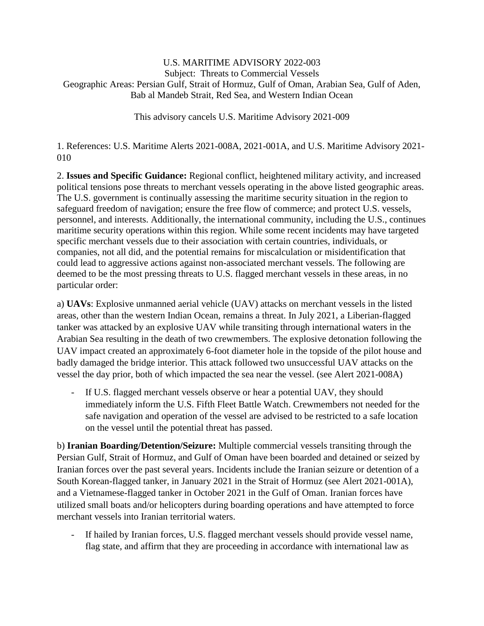## U.S. MARITIME ADVISORY 2022-003 Subject: Threats to Commercial Vessels Geographic Areas: Persian Gulf, Strait of Hormuz, Gulf of Oman, Arabian Sea, Gulf of Aden, Bab al Mandeb Strait, Red Sea, and Western Indian Ocean

This advisory cancels U.S. Maritime Advisory 2021-009

1. References: U.S. Maritime Alerts 2021-008A, 2021-001A, and U.S. Maritime Advisory 2021- 010

2. **Issues and Specific Guidance:** Regional conflict, heightened military activity, and increased political tensions pose threats to merchant vessels operating in the above listed geographic areas. The U.S. government is continually assessing the maritime security situation in the region to safeguard freedom of navigation; ensure the free flow of commerce; and protect U.S. vessels, personnel, and interests. Additionally, the international community, including the U.S., continues maritime security operations within this region. While some recent incidents may have targeted specific merchant vessels due to their association with certain countries, individuals, or companies, not all did, and the potential remains for miscalculation or misidentification that could lead to aggressive actions against non-associated merchant vessels. The following are deemed to be the most pressing threats to U.S. flagged merchant vessels in these areas, in no particular order:

a) **UAVs**: Explosive unmanned aerial vehicle (UAV) attacks on merchant vessels in the listed areas, other than the western Indian Ocean, remains a threat. In July 2021, a Liberian-flagged tanker was attacked by an explosive UAV while transiting through international waters in the Arabian Sea resulting in the death of two crewmembers. The explosive detonation following the UAV impact created an approximately 6-foot diameter hole in the topside of the pilot house and badly damaged the bridge interior. This attack followed two unsuccessful UAV attacks on the vessel the day prior, both of which impacted the sea near the vessel. (see Alert 2021-008A)

If U.S. flagged merchant vessels observe or hear a potential UAV, they should immediately inform the U.S. Fifth Fleet Battle Watch. Crewmembers not needed for the safe navigation and operation of the vessel are advised to be restricted to a safe location on the vessel until the potential threat has passed.

b) **Iranian Boarding/Detention/Seizure:** Multiple commercial vessels transiting through the Persian Gulf, Strait of Hormuz, and Gulf of Oman have been boarded and detained or seized by Iranian forces over the past several years. Incidents include the Iranian seizure or detention of a South Korean-flagged tanker, in January 2021 in the Strait of Hormuz (see Alert 2021-001A), and a Vietnamese-flagged tanker in October 2021 in the Gulf of Oman. Iranian forces have utilized small boats and/or helicopters during boarding operations and have attempted to force merchant vessels into Iranian territorial waters.

If hailed by Iranian forces, U.S. flagged merchant vessels should provide vessel name, flag state, and affirm that they are proceeding in accordance with international law as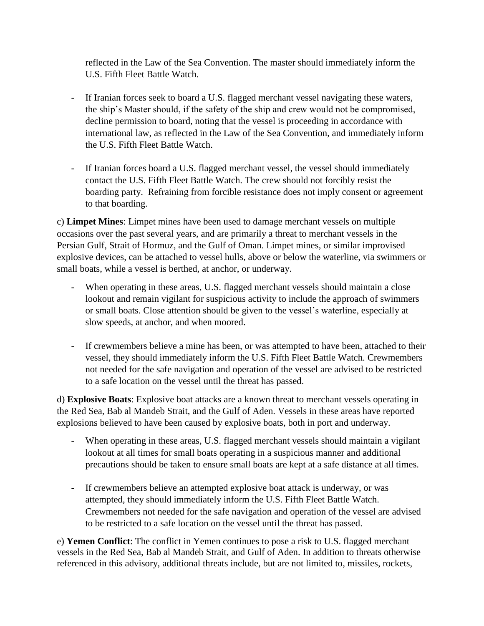reflected in the Law of the Sea Convention. The master should immediately inform the U.S. Fifth Fleet Battle Watch.

- If Iranian forces seek to board a U.S. flagged merchant vessel navigating these waters, the ship's Master should, if the safety of the ship and crew would not be compromised, decline permission to board, noting that the vessel is proceeding in accordance with international law, as reflected in the Law of the Sea Convention, and immediately inform the U.S. Fifth Fleet Battle Watch.
- If Iranian forces board a U.S. flagged merchant vessel, the vessel should immediately contact the U.S. Fifth Fleet Battle Watch. The crew should not forcibly resist the boarding party. Refraining from forcible resistance does not imply consent or agreement to that boarding.

c) **Limpet Mines**: Limpet mines have been used to damage merchant vessels on multiple occasions over the past several years, and are primarily a threat to merchant vessels in the Persian Gulf, Strait of Hormuz, and the Gulf of Oman. Limpet mines, or similar improvised explosive devices, can be attached to vessel hulls, above or below the waterline, via swimmers or small boats, while a vessel is berthed, at anchor, or underway.

- When operating in these areas, U.S. flagged merchant vessels should maintain a close lookout and remain vigilant for suspicious activity to include the approach of swimmers or small boats. Close attention should be given to the vessel's waterline, especially at slow speeds, at anchor, and when moored.
- If crewmembers believe a mine has been, or was attempted to have been, attached to their vessel, they should immediately inform the U.S. Fifth Fleet Battle Watch. Crewmembers not needed for the safe navigation and operation of the vessel are advised to be restricted to a safe location on the vessel until the threat has passed.

d) **Explosive Boats**: Explosive boat attacks are a known threat to merchant vessels operating in the Red Sea, Bab al Mandeb Strait, and the Gulf of Aden. Vessels in these areas have reported explosions believed to have been caused by explosive boats, both in port and underway.

- When operating in these areas, U.S. flagged merchant vessels should maintain a vigilant lookout at all times for small boats operating in a suspicious manner and additional precautions should be taken to ensure small boats are kept at a safe distance at all times.
- If crewmembers believe an attempted explosive boat attack is underway, or was attempted, they should immediately inform the U.S. Fifth Fleet Battle Watch. Crewmembers not needed for the safe navigation and operation of the vessel are advised to be restricted to a safe location on the vessel until the threat has passed.

e) **Yemen Conflict**: The conflict in Yemen continues to pose a risk to U.S. flagged merchant vessels in the Red Sea, Bab al Mandeb Strait, and Gulf of Aden. In addition to threats otherwise referenced in this advisory, additional threats include, but are not limited to, missiles, rockets,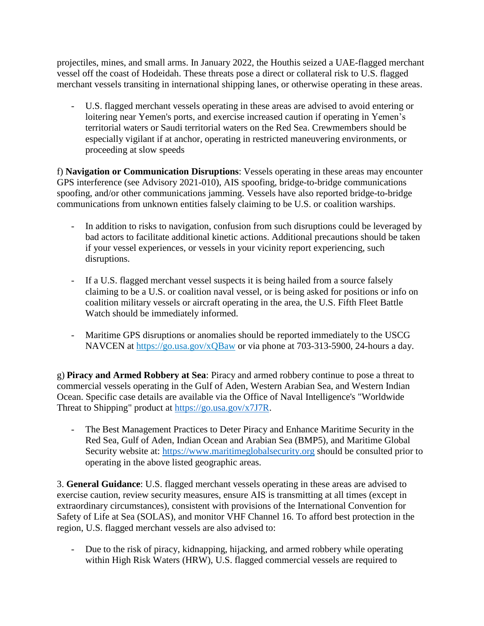projectiles, mines, and small arms. In January 2022, the Houthis seized a UAE-flagged merchant vessel off the coast of Hodeidah. These threats pose a direct or collateral risk to U.S. flagged merchant vessels transiting in international shipping lanes, or otherwise operating in these areas.

U.S. flagged merchant vessels operating in these areas are advised to avoid entering or loitering near Yemen's ports, and exercise increased caution if operating in Yemen's territorial waters or Saudi territorial waters on the Red Sea. Crewmembers should be especially vigilant if at anchor, operating in restricted maneuvering environments, or proceeding at slow speeds

f) **Navigation or Communication Disruptions**: Vessels operating in these areas may encounter GPS interference (see Advisory 2021-010), AIS spoofing, bridge-to-bridge communications spoofing, and/or other communications jamming. Vessels have also reported bridge-to-bridge communications from unknown entities falsely claiming to be U.S. or coalition warships.

- In addition to risks to navigation, confusion from such disruptions could be leveraged by bad actors to facilitate additional kinetic actions. Additional precautions should be taken if your vessel experiences, or vessels in your vicinity report experiencing, such disruptions.
- If a U.S. flagged merchant vessel suspects it is being hailed from a source falsely claiming to be a U.S. or coalition naval vessel, or is being asked for positions or info on coalition military vessels or aircraft operating in the area, the U.S. Fifth Fleet Battle Watch should be immediately informed.
- Maritime GPS disruptions or anomalies should be reported immediately to the USCG NAVCEN at <https://go.usa.gov/xQBaw> or via phone at 703-313-5900, 24-hours a day.

g) **Piracy and Armed Robbery at Sea**: Piracy and armed robbery continue to pose a threat to commercial vessels operating in the Gulf of Aden, Western Arabian Sea, and Western Indian Ocean. Specific case details are available via the Office of Naval Intelligence's "Worldwide Threat to Shipping" product at [https://go.usa.gov/x7J7R.](https://go.usa.gov/x7J7R)

- The Best Management Practices to Deter Piracy and Enhance Maritime Security in the Red Sea, Gulf of Aden, Indian Ocean and Arabian Sea (BMP5), and Maritime Global Security website at: [https://www.maritimeglobalsecurity.org](https://www.maritimeglobalsecurity.org/) should be consulted prior to operating in the above listed geographic areas.

3. **General Guidance**: U.S. flagged merchant vessels operating in these areas are advised to exercise caution, review security measures, ensure AIS is transmitting at all times (except in extraordinary circumstances), consistent with provisions of the International Convention for Safety of Life at Sea (SOLAS), and monitor VHF Channel 16. To afford best protection in the region, U.S. flagged merchant vessels are also advised to:

- Due to the risk of piracy, kidnapping, hijacking, and armed robbery while operating within High Risk Waters (HRW), U.S. flagged commercial vessels are required to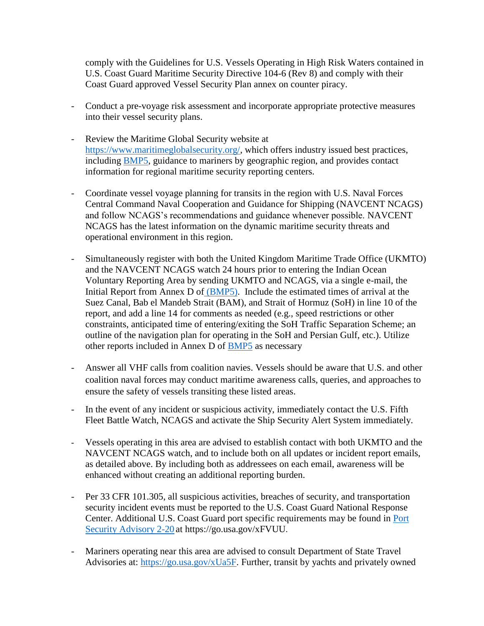comply with the Guidelines for U.S. Vessels Operating in High Risk Waters contained in U.S. Coast Guard Maritime Security Directive 104-6 (Rev 8) and comply with their Coast Guard approved Vessel Security Plan annex on counter piracy.

- Conduct a pre-voyage risk assessment and incorporate appropriate protective measures into their vessel security plans.
- Review the Maritime Global Security website at [https://www.maritimeglobalsecurity.org/,](https://www.maritimeglobalsecurity.org/) which offers industry issued best practices, including [BMP5,](https://www.ukmto.org/-/media/ukmto/images/indian-ocean/bmp5-small.pdf?la=en-gb) guidance to mariners by geographic region, and provides contact information for regional maritime security reporting centers.
- Coordinate vessel voyage planning for transits in the region with U.S. Naval Forces Central Command Naval Cooperation and Guidance for Shipping (NAVCENT NCAGS) and follow NCAGS's recommendations and guidance whenever possible. NAVCENT NCAGS has the latest information on the dynamic maritime security threats and operational environment in this region.
- Simultaneously register with both the United Kingdom Maritime Trade Office (UKMTO) and the NAVCENT NCAGS watch 24 hours prior to entering the Indian Ocean Voluntary Reporting Area by sending UKMTO and NCAGS, via a single e-mail, the Initial Report from Annex D of [\(BMP5\).](https://www.ukmto.org/-/media/ukmto/images/indian-ocean/bmp5-small.pdf?la=en-gb) Include the estimated times of arrival at the Suez Canal, Bab el Mandeb Strait (BAM), and Strait of Hormuz (SoH) in line 10 of the report, and add a line 14 for comments as needed (e.g., speed restrictions or other constraints, anticipated time of entering/exiting the SoH Traffic Separation Scheme; an outline of the navigation plan for operating in the SoH and Persian Gulf, etc.). Utilize other reports included in Annex D of **BMP5** as necessary
- Answer all VHF calls from coalition navies. Vessels should be aware that U.S. and other coalition naval forces may conduct maritime awareness calls, queries, and approaches to ensure the safety of vessels transiting these listed areas.
- In the event of any incident or suspicious activity, immediately contact the U.S. Fifth Fleet Battle Watch, NCAGS and activate the Ship Security Alert System immediately.
- Vessels operating in this area are advised to establish contact with both UKMTO and the NAVCENT NCAGS watch, and to include both on all updates or incident report emails, as detailed above. By including both as addressees on each email, awareness will be enhanced without creating an additional reporting burden.
- Per 33 CFR 101.305, all suspicious activities, breaches of security, and transportation security incident events must be reported to the U.S. Coast Guard National Response Center. Additional U.S. Coast Guard port specific requirements may be found in [Port](https://www.dco.uscg.mil/Portals/9/DCO%20Documents/InternationalPortSecurity/Port%20Security%20Advisory/PortSecurityAdvisoryLIBERIARemoveCOE2-20.pdf?ver=2020-06-10-151708-817)  [Security Advisory 2-20](https://www.dco.uscg.mil/Portals/9/DCO%20Documents/InternationalPortSecurity/Port%20Security%20Advisory/PortSecurityAdvisoryLIBERIARemoveCOE2-20.pdf?ver=2020-06-10-151708-817) at https://go.usa.gov/xFVUU.
- Mariners operating near this area are advised to consult Department of State Travel Advisories at: [https://go.usa.gov/xUa5F.](https://go.usa.gov/xUa5F) Further, transit by yachts and privately owned